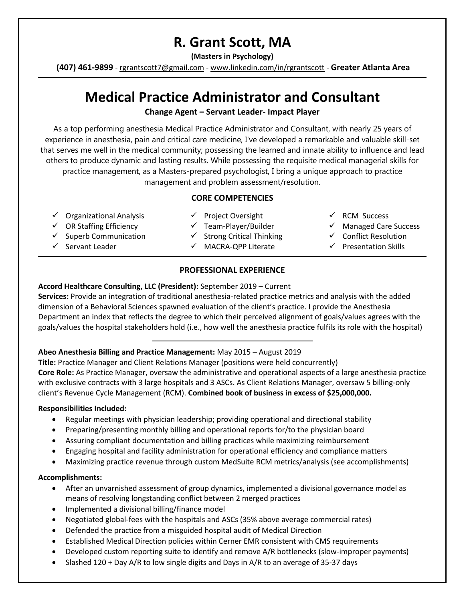# **R. Grant Scott, MA**

**(Masters in Psychology)**

**(407) 461-9899** - rgrantscott7@gmai[l.com](mailto:abearjena@aol.com) - [www.linkedin.com/in/rgrantscott](http://www.linkedin.com/in/rgrantscott) - **Greater Atlanta Area**

## **Medical Practice Administrator and Consultant**

#### **Change Agent – Servant Leader- Impact Player**

As a top performing anesthesia Medical Practice Administrator and Consultant, with nearly 25 years of experience in anesthesia, pain and critical care medicine, I've developed a remarkable and valuable skill-set that serves me well in the medical community; possessing the learned and innate ability to influence and lead others to produce dynamic and lasting results. While possessing the requisite medical managerial skills for practice management, as a Masters-prepared psychologist, I bring a unique approach to practice management and problem assessment/resolution.

#### **CORE COMPETENCIES**

| $\checkmark$ Organizational Analysis | $\checkmark$ Project Oversight        | <b>RCM Success</b>               |
|--------------------------------------|---------------------------------------|----------------------------------|
| $\checkmark$ OR Staffing Efficiency  | $\checkmark$ Team-Player/Builder      | <b>Managed Care Success</b>      |
| $\checkmark$ Superb Communication    | $\checkmark$ Strong Critical Thinking | $\checkmark$ Conflict Resolution |
| Servant Leader                       | ← MACRA-QPP Literate                  | $\checkmark$ Presentation Skills |
|                                      |                                       |                                  |

## **PROFESSIONAL EXPERIENCE**

#### **Accord Healthcare Consulting, LLC (President):** September 2019 – Current

**Services:** Provide an integration of traditional anesthesia-related practice metrics and analysis with the added dimension of a Behavioral Sciences spawned evaluation of the client's practice. I provide the Anesthesia Department an index that reflects the degree to which their perceived alignment of goals/values agrees with the goals/values the hospital stakeholders hold (i.e., how well the anesthesia practice fulfils its role with the hospital)

#### **Abeo Anesthesia Billing and Practice Management:** May 2015 – August 2019

**Title:** Practice Manager and Client Relations Manager (positions were held concurrently) **Core Role:** As Practice Manager, oversaw the administrative and operational aspects of a large anesthesia practice with exclusive contracts with 3 large hospitals and 3 ASCs. As Client Relations Manager, oversaw 5 billing-only client's Revenue Cycle Management (RCM). **Combined book of business in excess of \$25,000,000.** 

#### **Responsibilities Included:**

- Regular meetings with physician leadership; providing operational and directional stability
- Preparing/presenting monthly billing and operational reports for/to the physician board
- Assuring compliant documentation and billing practices while maximizing reimbursement
- Engaging hospital and facility administration for operational efficiency and compliance matters
- Maximizing practice revenue through custom MedSuite RCM metrics/analysis (see accomplishments)

#### **Accomplishments:**

- After an unvarnished assessment of group dynamics, implemented a divisional governance model as means of resolving longstanding conflict between 2 merged practices
- Implemented a divisional billing/finance model
- Negotiated global-fees with the hospitals and ASCs (35% above average commercial rates)
- Defended the practice from a misguided hospital audit of Medical Direction
- Established Medical Direction policies within Cerner EMR consistent with CMS requirements
- Developed custom reporting suite to identify and remove A/R bottlenecks (slow-improper payments)
- Slashed 120 + Day A/R to low single digits and Days in A/R to an average of 35-37 days